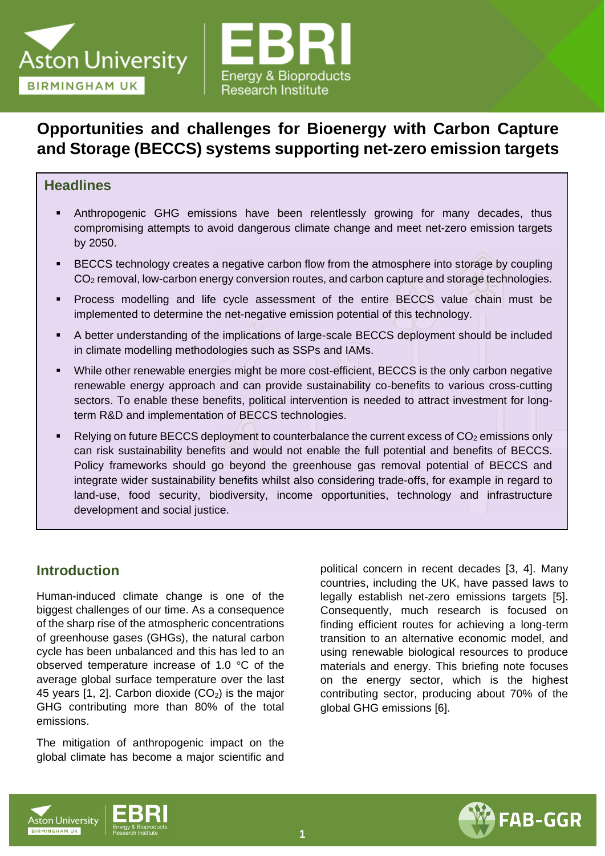



# **Opportunities and challenges for Bioenergy with Carbon Capture and Storage (BECCS) systems supporting net-zero emission targets**

### **Headlines**

- Anthropogenic GHG emissions have been relentlessly growing for many decades, thus compromising attempts to avoid dangerous climate change and meet net-zero emission targets by 2050.
- BECCS technology creates a negative carbon flow from the atmosphere into storage by coupling CO<sub>2</sub> removal, low-carbon energy conversion routes, and carbon capture and storage technologies.
- Process modelling and life cycle assessment of the entire BECCS value chain must be implemented to determine the net-negative emission potential of this technology.
- A better understanding of the implications of large-scale BECCS deployment should be included in climate modelling methodologies such as SSPs and IAMs.
- While other renewable energies might be more cost-efficient, BECCS is the only carbon negative renewable energy approach and can provide sustainability co-benefits to various cross-cutting sectors. To enable these benefits, political intervention is needed to attract investment for longterm R&D and implementation of BECCS technologies.
- Relying on future BECCS deployment to counterbalance the current excess of  $CO<sub>2</sub>$  emissions only can risk sustainability benefits and would not enable the full potential and benefits of BECCS. Policy frameworks should go beyond the greenhouse gas removal potential of BECCS and integrate wider sustainability benefits whilst also considering trade-offs, for example in regard to land-use, food security, biodiversity, income opportunities, technology and infrastructure development and social justice.

## **Introduction**

Human-induced climate change is one of the biggest challenges of our time. As a consequence of the sharp rise of the atmospheric concentrations of greenhouse gases (GHGs), the natural carbon cycle has been unbalanced and this has led to an observed temperature increase of 1.0 °C of the average global surface temperature over the last 45 years [1, 2]. Carbon dioxide  $(CO<sub>2</sub>)$  is the major GHG contributing more than 80% of the total emissions.

The mitigation of anthropogenic impact on the global climate has become a major scientific and

political concern in recent decades [3, 4]. Many countries, including the UK, have passed laws to legally establish net-zero emissions targets [5]. Consequently, much research is focused on finding efficient routes for achieving a long-term transition to an alternative economic model, and using renewable biological resources to produce materials and energy. This briefing note focuses on the energy sector, which is the highest contributing sector, producing about 70% of the global GHG emissions [6].



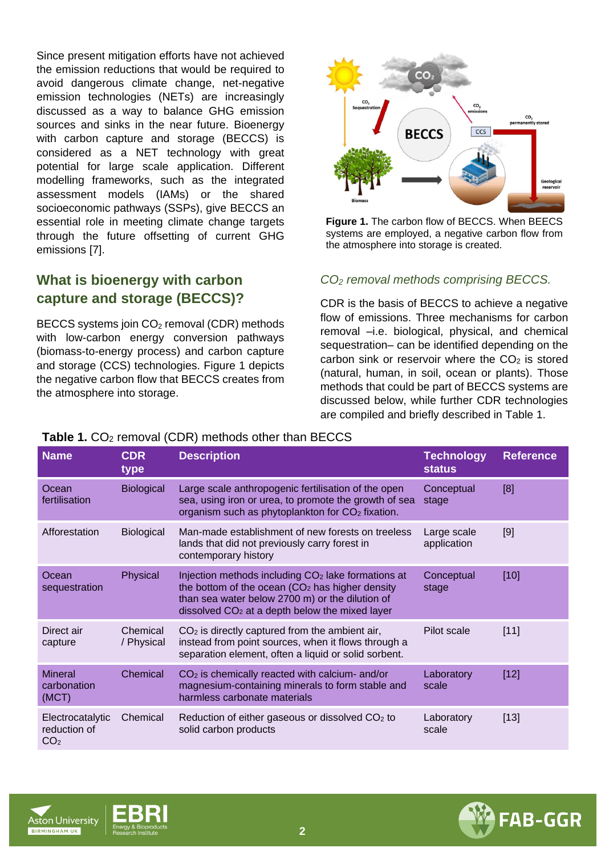Since present mitigation efforts have not achieved the emission reductions that would be required to avoid dangerous climate change, net-negative emission technologies (NETs) are increasingly discussed as a way to balance GHG emission sources and sinks in the near future. Bioenergy with carbon capture and storage (BECCS) is considered as a NET technology with great potential for large scale application. Different modelling frameworks, such as the integrated assessment models (IAMs) or the shared socioeconomic pathways (SSPs), give BECCS an essential role in meeting climate change targets through the future offsetting of current GHG emissions [7].

## **What is bioenergy with carbon capture and storage (BECCS)?**

BECCS systems join CO<sub>2</sub> removal (CDR) methods with low-carbon energy conversion pathways (biomass-to-energy process) and carbon capture and storage (CCS) technologies. Figure 1 depicts the negative carbon flow that BECCS creates from the atmosphere into storage.



**Figure 1.** The carbon flow of BECCS. When BEECS systems are employed, a negative carbon flow from the atmosphere into storage is created.

### *CO<sup>2</sup> removal methods comprising BECCS.*

CDR is the basis of BECCS to achieve a negative flow of emissions. Three mechanisms for carbon removal –i.e. biological, physical, and chemical sequestration– can be identified depending on the carbon sink or reservoir where the  $CO<sub>2</sub>$  is stored (natural, human, in soil, ocean or plants). Those methods that could be part of BECCS systems are discussed below, while further CDR technologies are compiled and briefly described in Table 1.

| $\frac{1}{2}$ . The contract of the contract of the contract of the contract of $\frac{1}{2}$ |                        |                                                                                                                                                                                                                            |                                    |                  |  |  |  |  |  |
|-----------------------------------------------------------------------------------------------|------------------------|----------------------------------------------------------------------------------------------------------------------------------------------------------------------------------------------------------------------------|------------------------------------|------------------|--|--|--|--|--|
| <b>Name</b>                                                                                   | <b>CDR</b><br>type     | <b>Description</b>                                                                                                                                                                                                         | <b>Technology</b><br><b>status</b> | <b>Reference</b> |  |  |  |  |  |
| Ocean<br>fertilisation                                                                        | <b>Biological</b>      | Large scale anthropogenic fertilisation of the open<br>sea, using iron or urea, to promote the growth of sea<br>organism such as phytoplankton for $CO2$ fixation.                                                         | Conceptual<br>stage                | [8]              |  |  |  |  |  |
| Afforestation                                                                                 | <b>Biological</b>      | Man-made establishment of new forests on treeless<br>lands that did not previously carry forest in<br>contemporary history                                                                                                 | Large scale<br>application         | [9]              |  |  |  |  |  |
| Ocean<br>sequestration                                                                        | Physical               | Injection methods including CO <sub>2</sub> lake formations at<br>the bottom of the ocean $(CO2$ has higher density<br>than sea water below 2700 m) or the dilution of<br>dissolved $CO2$ at a depth below the mixed layer | Conceptual<br>stage                | [10]             |  |  |  |  |  |
| Direct air<br>capture                                                                         | Chemical<br>/ Physical | $CO2$ is directly captured from the ambient air,<br>instead from point sources, when it flows through a<br>separation element, often a liquid or solid sorbent.                                                            | Pilot scale                        | [11]             |  |  |  |  |  |
| <b>Mineral</b><br>carbonation<br>(MCT)                                                        | Chemical               | $CO2$ is chemically reacted with calcium- and/or<br>magnesium-containing minerals to form stable and<br>harmless carbonate materials                                                                                       | Laboratory<br>scale                | $[12]$           |  |  |  |  |  |
| Electrocatalytic<br>reduction of<br>CO <sub>2</sub>                                           | Chemical               | Reduction of either gaseous or dissolved CO <sub>2</sub> to<br>solid carbon products                                                                                                                                       | Laboratory<br>scale                | $[13]$           |  |  |  |  |  |

### **Table 1. CO<sub>2</sub> removal (CDR) methods other than BECCS**





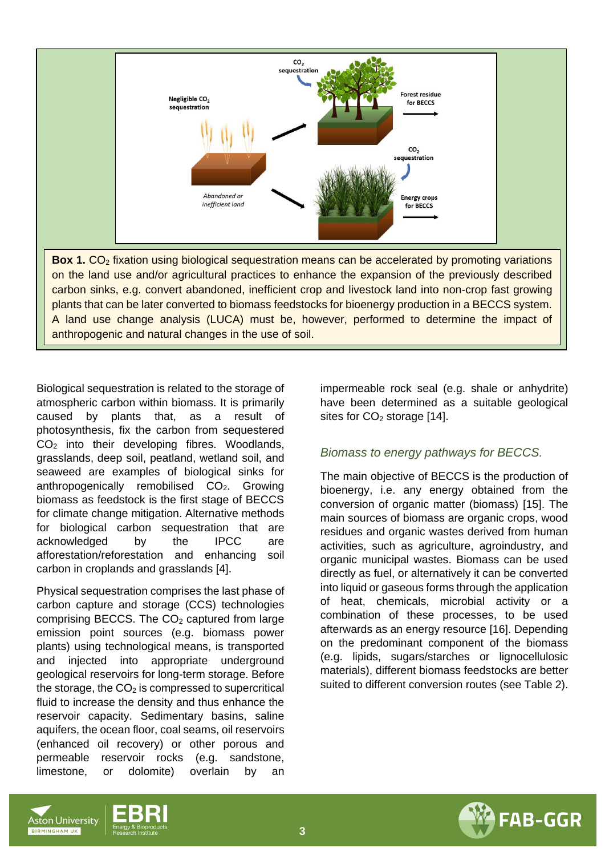

Biological sequestration is related to the storage of atmospheric carbon within biomass. It is primarily caused by plants that, as a result of photosynthesis, fix the carbon from sequestered CO<sub>2</sub> into their developing fibres. Woodlands, grasslands, deep soil, peatland, wetland soil, and seaweed are examples of biological sinks for anthropogenically remobilised CO<sub>2</sub>. Growing biomass as feedstock is the first stage of BECCS for climate change mitigation. Alternative methods for biological carbon sequestration that are acknowledged by the IPCC are afforestation/reforestation and enhancing soil carbon in croplands and grasslands [4].

Physical sequestration comprises the last phase of carbon capture and storage (CCS) technologies comprising BECCS. The  $CO<sub>2</sub>$  captured from large emission point sources (e.g. biomass power plants) using technological means, is transported and injected into appropriate underground geological reservoirs for long-term storage. Before the storage, the  $CO<sub>2</sub>$  is compressed to supercritical fluid to increase the density and thus enhance the reservoir capacity. Sedimentary basins, saline aquifers, the ocean floor, coal seams, oil reservoirs (enhanced oil recovery) or other porous and permeable reservoir rocks (e.g. sandstone, limestone, or dolomite) overlain by an

impermeable rock seal (e.g. shale or anhydrite) have been determined as a suitable geological sites for  $CO<sub>2</sub>$  storage [14].

#### *Biomass to energy pathways for BECCS.*

The main objective of BECCS is the production of bioenergy, i.e. any energy obtained from the conversion of organic matter (biomass) [15]. The main sources of biomass are organic crops, wood residues and organic wastes derived from human activities, such as agriculture, agroindustry, and organic municipal wastes. Biomass can be used directly as fuel, or alternatively it can be converted into liquid or gaseous forms through the application of heat, chemicals, microbial activity or a combination of these processes, to be used afterwards as an energy resource [16]. Depending on the predominant component of the biomass (e.g. lipids, sugars/starches or lignocellulosic materials), different biomass feedstocks are better suited to different conversion routes (see Table 2).





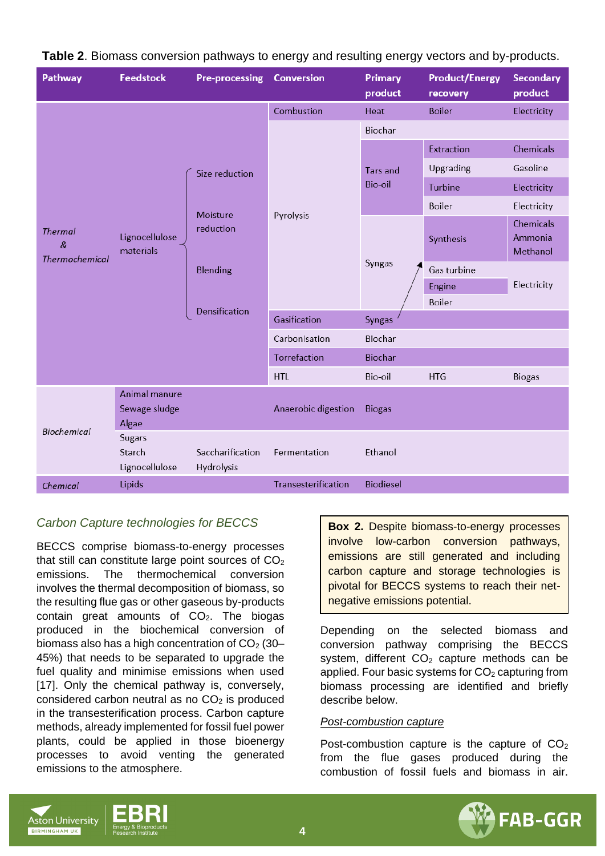| Pathway                                      | <b>Feedstock</b>                          | <b>Pre-processing</b>             | <b>Conversion</b>   | <b>Primary</b><br>product         | <b>Product/Energy</b><br>recovery | <b>Secondary</b><br>product      |
|----------------------------------------------|-------------------------------------------|-----------------------------------|---------------------|-----------------------------------|-----------------------------------|----------------------------------|
|                                              |                                           | Size reduction                    | Combustion          | Heat                              | <b>Boiler</b>                     | Electricity                      |
| <b>Thermal</b><br>&<br><b>Thermochemical</b> |                                           |                                   | Pyrolysis           | Biochar                           |                                   |                                  |
|                                              |                                           |                                   |                     | <b>Tars and</b><br><b>Bio-oil</b> | Extraction                        | Chemicals                        |
|                                              | Lignocellulose<br>materials               |                                   |                     |                                   | Upgrading                         | Gasoline                         |
|                                              |                                           |                                   |                     |                                   | Turbine                           | Electricity                      |
|                                              |                                           | Moisture<br>reduction<br>Blending |                     |                                   | Boiler                            | Electricity                      |
|                                              |                                           |                                   |                     | Syngas                            | Synthesis                         | Chemicals<br>Ammonia<br>Methanol |
|                                              |                                           |                                   |                     |                                   | Gas turbine                       |                                  |
|                                              |                                           | Densification                     |                     |                                   | Engine                            | Electricity                      |
|                                              |                                           |                                   |                     |                                   | Boiler                            |                                  |
|                                              |                                           |                                   | Gasification        | Syngas                            |                                   |                                  |
|                                              |                                           |                                   | Carbonisation       | Biochar                           |                                   |                                  |
|                                              |                                           |                                   | Torrefaction        | <b>Biochar</b>                    |                                   |                                  |
|                                              |                                           |                                   | <b>HTL</b>          | Bio-oil                           | <b>HTG</b>                        | <b>Biogas</b>                    |
| Biochemical                                  | Animal manure<br>Sewage sludge<br>Algae   |                                   | Anaerobic digestion | <b>Biogas</b>                     |                                   |                                  |
|                                              | <b>Sugars</b><br>Starch<br>Lignocellulose | Saccharification<br>Hydrolysis    | Fermentation        | Ethanol                           |                                   |                                  |
| Chemical                                     | Lipids                                    |                                   | Transesterification | <b>Biodiesel</b>                  |                                   |                                  |

### **Table 2**. Biomass conversion pathways to energy and resulting energy vectors and by-products.

### *Carbon Capture technologies for BECCS*

BECCS comprise biomass-to-energy processes that still can constitute large point sources of  $CO<sub>2</sub>$ emissions. The thermochemical conversion involves the thermal decomposition of biomass, so the resulting flue gas or other gaseous by-products contain great amounts of  $CO<sub>2</sub>$ . The biogas produced in the biochemical conversion of biomass also has a high concentration of  $CO<sub>2</sub>$  (30– 45%) that needs to be separated to upgrade the fuel quality and minimise emissions when used [17]. Only the chemical pathway is, conversely, considered carbon neutral as no  $CO<sub>2</sub>$  is produced in the transesterification process. Carbon capture methods, already implemented for fossil fuel power plants, could be applied in those bioenergy processes to avoid venting the generated emissions to the atmosphere.

**Box 2.** Despite biomass-to-energy processes involve low-carbon conversion pathways, emissions are still generated and including carbon capture and storage technologies is pivotal for BECCS systems to reach their netnegative emissions potential.

Depending on the selected biomass and conversion pathway comprising the BECCS system, different  $CO<sub>2</sub>$  capture methods can be applied. Four basic systems for  $CO<sub>2</sub>$  capturing from biomass processing are identified and briefly describe below.

#### *Post-combustion capture*

Post-combustion capture is the capture of  $CO<sub>2</sub>$ from the flue gases produced during the combustion of fossil fuels and biomass in air.





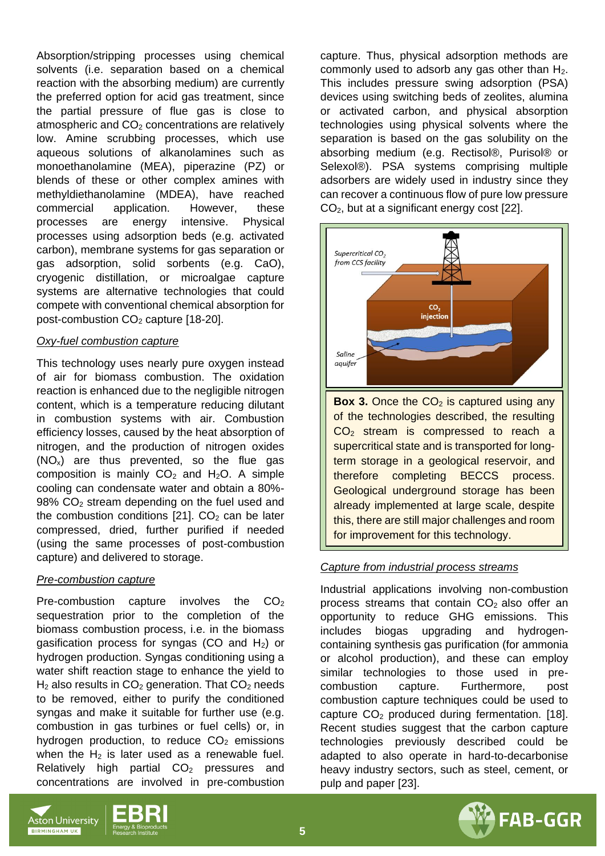Absorption/stripping processes using chemical solvents (i.e. separation based on a chemical reaction with the absorbing medium) are currently the preferred option for acid gas treatment, since the partial pressure of flue gas is close to atmospheric and  $CO<sub>2</sub>$  concentrations are relatively low. Amine scrubbing processes, which use aqueous solutions of alkanolamines such as monoethanolamine (MEA), piperazine (PZ) or blends of these or other complex amines with methyldiethanolamine (MDEA), have reached commercial application. However, these processes are energy intensive. Physical processes using adsorption beds (e.g. activated carbon), membrane systems for gas separation or gas adsorption, solid sorbents (e.g. CaO), cryogenic distillation, or microalgae capture systems are alternative technologies that could compete with conventional chemical absorption for post-combustion CO<sub>2</sub> capture [18-20].

#### *Oxy-fuel combustion capture*

This technology uses nearly pure oxygen instead of air for biomass combustion. The oxidation reaction is enhanced due to the negligible nitrogen content, which is a temperature reducing dilutant in combustion systems with air. Combustion efficiency losses, caused by the heat absorption of nitrogen, and the production of nitrogen oxides  $(NO<sub>x</sub>)$  are thus prevented, so the flue gas composition is mainly  $CO<sub>2</sub>$  and  $H<sub>2</sub>O$ . A simple cooling can condensate water and obtain a 80%- 98% CO<sup>2</sup> stream depending on the fuel used and the combustion conditions  $[21]$ . CO<sub>2</sub> can be later compressed, dried, further purified if needed (using the same processes of post-combustion capture) and delivered to storage.

#### *Pre-combustion capture*

Pre-combustion capture involves the  $CO<sub>2</sub>$ sequestration prior to the completion of the biomass combustion process, i.e. in the biomass gasification process for syngas (CO and  $H_2$ ) or hydrogen production. Syngas conditioning using a water shift reaction stage to enhance the yield to  $H<sub>2</sub>$  also results in CO<sub>2</sub> generation. That CO<sub>2</sub> needs to be removed, either to purify the conditioned syngas and make it suitable for further use (e.g. combustion in gas turbines or fuel cells) or, in hydrogen production, to reduce  $CO<sub>2</sub>$  emissions when the  $H_2$  is later used as a renewable fuel. Relatively high partial  $CO<sub>2</sub>$  pressures and concentrations are involved in pre-combustion

capture. Thus, physical adsorption methods are commonly used to adsorb any gas other than  $H_2$ . This includes pressure swing adsorption (PSA) devices using switching beds of zeolites, alumina or activated carbon, and physical absorption technologies using physical solvents where the separation is based on the gas solubility on the absorbing medium (e.g. Rectisol®, Purisol® or Selexol®). PSA systems comprising multiple adsorbers are widely used in industry since they can recover a continuous flow of pure low pressure CO<sub>2</sub>, but at a significant energy cost [22].



**Box 3.** Once the  $CO<sub>2</sub>$  is captured using any of the technologies described, the resulting CO<sup>2</sup> stream is compressed to reach a supercritical state and is transported for longterm storage in a geological reservoir, and therefore completing BECCS process. Geological underground storage has been already implemented at large scale, despite this, there are still major challenges and room for improvement for this technology.

### *Capture from industrial process streams*

Industrial applications involving non-combustion process streams that contain  $CO<sub>2</sub>$  also offer an opportunity to reduce GHG emissions. This includes biogas upgrading and hydrogencontaining synthesis gas purification (for ammonia or alcohol production), and these can employ similar technologies to those used in precombustion capture. Furthermore, post combustion capture techniques could be used to capture  $CO<sub>2</sub>$  produced during fermentation. [18]. Recent studies suggest that the carbon capture technologies previously described could be adapted to also operate in hard-to-decarbonise heavy industry sectors, such as steel, cement, or pulp and paper [23].





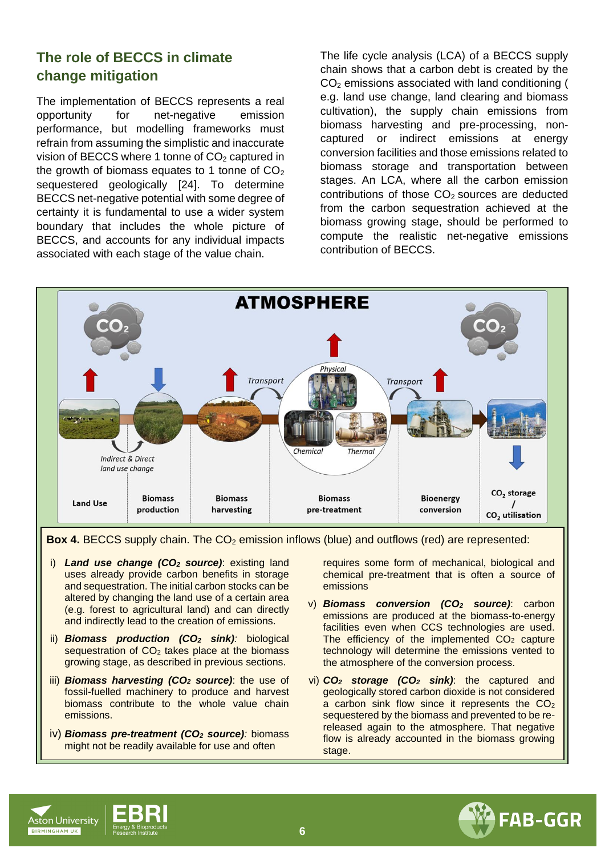## **The role of BECCS in climate change mitigation**

The implementation of BECCS represents a real opportunity for net-negative emission performance, but modelling frameworks must refrain from assuming the simplistic and inaccurate vision of BECCS where 1 tonne of  $CO<sub>2</sub>$  captured in the growth of biomass equates to 1 tonne of  $CO<sub>2</sub>$ sequestered geologically [24]. To determine BECCS net-negative potential with some degree of certainty it is fundamental to use a wider system boundary that includes the whole picture of BECCS, and accounts for any individual impacts associated with each stage of the value chain.

The life cycle analysis (LCA) of a BECCS supply chain shows that a carbon debt is created by the CO<sup>2</sup> emissions associated with land conditioning ( e.g. land use change, land clearing and biomass cultivation), the supply chain emissions from biomass harvesting and pre-processing, noncaptured or indirect emissions at energy conversion facilities and those emissions related to biomass storage and transportation between stages. An LCA, where all the carbon emission contributions of those  $CO<sub>2</sub>$  sources are deducted from the carbon sequestration achieved at the biomass growing stage, should be performed to compute the realistic net-negative emissions contribution of BECCS.



**Box 4. BECCS supply chain. The CO<sub>2</sub> emission inflows (blue) and outflows (red) are represented:** 

- i) *Land use change (CO<sup>2</sup> source)*: existing land uses already provide carbon benefits in storage and sequestration. The initial carbon stocks can be altered by changing the land use of a certain area (e.g. forest to agricultural land) and can directly and indirectly lead to the creation of emissions.
- ii) *Biomass production (CO<sup>2</sup> sink):* biological sequestration of CO<sub>2</sub> takes place at the biomass growing stage, as described in previous sections.
- iii) *Biomass harvesting (CO<sup>2</sup> source)*: the use of fossil-fuelled machinery to produce and harvest biomass contribute to the whole value chain emissions.
- iv) *Biomass pre-treatment (CO<sup>2</sup> source):* biomass might not be readily available for use and often

requires some form of mechanical, biological and chemical pre-treatment that is often a source of emissions

- v) *Biomass conversion (CO<sup>2</sup> source)*: carbon emissions are produced at the biomass-to-energy facilities even when CCS technologies are used. The efficiency of the implemented  $CO<sub>2</sub>$  capture technology will determine the emissions vented to the atmosphere of the conversion process.
- vi) *CO<sup>2</sup> storage (CO<sup>2</sup> sink)*: the captured and geologically stored carbon dioxide is not considered a carbon sink flow since it represents the CO<sub>2</sub> sequestered by the biomass and prevented to be rereleased again to the atmosphere. That negative flow is already accounted in the biomass growing stage.





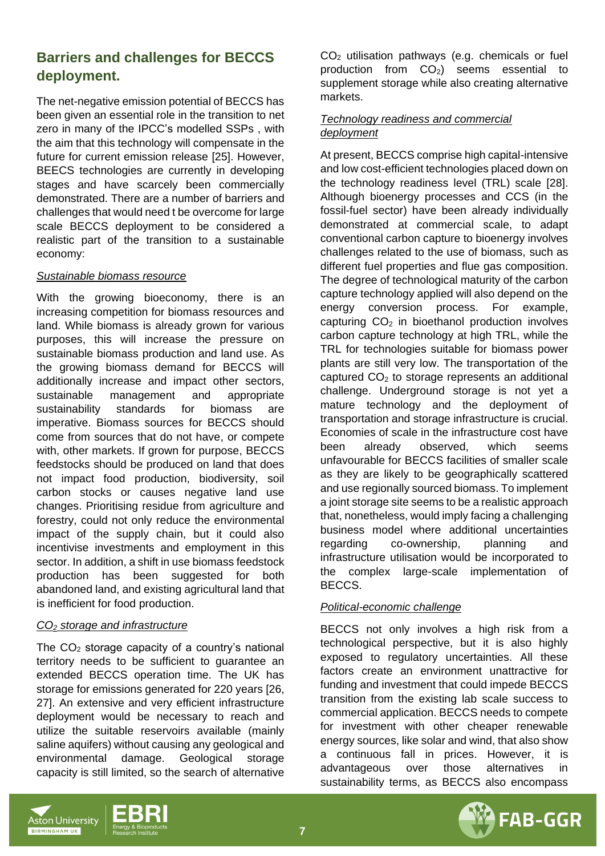## **Barriers and challenges for BECCS deployment.**

The net-negative emission potential of BECCS has been given an essential role in the transition to net zero in many of the IPCC's modelled SSPs , with the aim that this technology will compensate in the future for current emission release [25]. However, BEECS technologies are currently in developing stages and have scarcely been commercially demonstrated. There are a number of barriers and challenges that would need t be overcome for large scale BECCS deployment to be considered a realistic part of the transition to a sustainable economy:

#### *Sustainable biomass resource*

With the growing bioeconomy, there is an increasing competition for biomass resources and land. While biomass is already grown for various purposes, this will increase the pressure on sustainable biomass production and land use. As the growing biomass demand for BECCS will additionally increase and impact other sectors, sustainable management and appropriate sustainability standards for biomass are imperative. Biomass sources for BECCS should come from sources that do not have, or compete with, other markets. If grown for purpose, BECCS feedstocks should be produced on land that does not impact food production, biodiversity, soil carbon stocks or causes negative land use changes. Prioritising residue from agriculture and forestry, could not only reduce the environmental impact of the supply chain, but it could also incentivise investments and employment in this sector. In addition, a shift in use biomass feedstock production has been suggested for both abandoned land, and existing agricultural land that is inefficient for food production.

#### *CO<sup>2</sup> storage and infrastructure*

The  $CO<sub>2</sub>$  storage capacity of a country's national territory needs to be sufficient to guarantee an extended BECCS operation time. The UK has storage for emissions generated for 220 years [26, 27]. An extensive and very efficient infrastructure deployment would be necessary to reach and utilize the suitable reservoirs available (mainly saline aquifers) without causing any geological and environmental damage. Geological storage capacity is still limited, so the search of alternative

CO<sup>2</sup> utilisation pathways (e.g. chemicals or fuel production from  $CO<sub>2</sub>$ ) seems essential to supplement storage while also creating alternative markets.

### *Technology readiness and commercial deployment*

At present, BECCS comprise high capital-intensive and low cost-efficient technologies placed down on the technology readiness level (TRL) scale [28]. Although bioenergy processes and CCS (in the fossil-fuel sector) have been already individually demonstrated at commercial scale, to adapt conventional carbon capture to bioenergy involves challenges related to the use of biomass, such as different fuel properties and flue gas composition. The degree of technological maturity of the carbon capture technology applied will also depend on the energy conversion process. For example, capturing  $CO<sub>2</sub>$  in bioethanol production involves carbon capture technology at high TRL, while the TRL for technologies suitable for biomass power plants are still very low. The transportation of the captured  $CO<sub>2</sub>$  to storage represents an additional challenge. Underground storage is not yet a mature technology and the deployment of transportation and storage infrastructure is crucial. Economies of scale in the infrastructure cost have been already observed, which seems unfavourable for BECCS facilities of smaller scale as they are likely to be geographically scattered and use regionally sourced biomass. To implement a joint storage site seems to be a realistic approach that, nonetheless, would imply facing a challenging business model where additional uncertainties regarding co-ownership, planning and infrastructure utilisation would be incorporated to the complex large-scale implementation of BECCS.

#### *Political-economic challenge*

BECCS not only involves a high risk from a technological perspective, but it is also highly exposed to regulatory uncertainties. All these factors create an environment unattractive for funding and investment that could impede BECCS transition from the existing lab scale success to commercial application. BECCS needs to compete for investment with other cheaper renewable energy sources, like solar and wind, that also show a continuous fall in prices. However, it is advantageous over those alternatives in sustainability terms, as BECCS also encompass





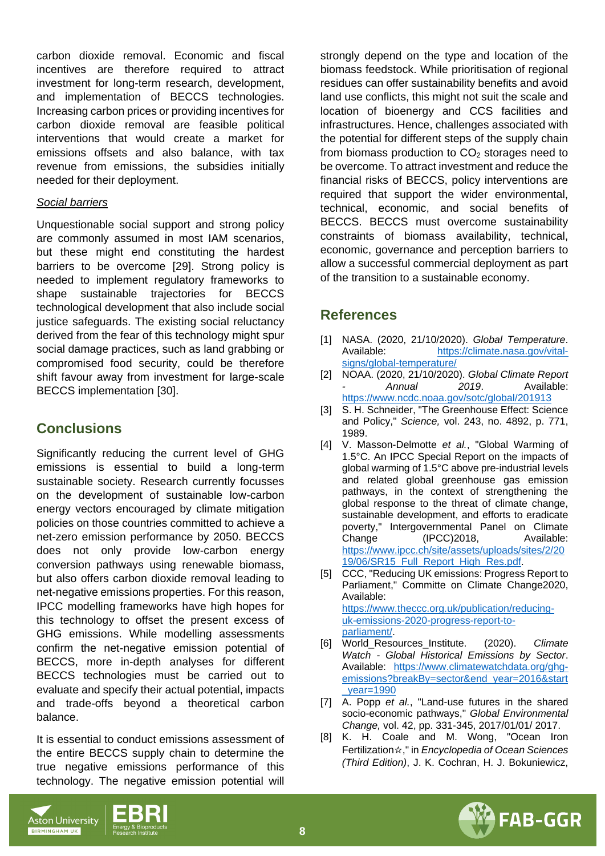carbon dioxide removal. Economic and fiscal incentives are therefore required to attract investment for long-term research, development, and implementation of BECCS technologies. Increasing carbon prices or providing incentives for carbon dioxide removal are feasible political interventions that would create a market for emissions offsets and also balance, with tax revenue from emissions, the subsidies initially needed for their deployment.

#### *Social barriers*

Unquestionable social support and strong policy are commonly assumed in most IAM scenarios, but these might end constituting the hardest barriers to be overcome [29]. Strong policy is needed to implement regulatory frameworks to shape sustainable trajectories for BECCS technological development that also include social justice safeguards. The existing social reluctancy derived from the fear of this technology might spur social damage practices, such as land grabbing or compromised food security, could be therefore shift favour away from investment for large-scale BECCS implementation [30].

### **Conclusions**

Significantly reducing the current level of GHG emissions is essential to build a long-term sustainable society. Research currently focusses on the development of sustainable low-carbon energy vectors encouraged by climate mitigation policies on those countries committed to achieve a net-zero emission performance by 2050. BECCS does not only provide low-carbon energy conversion pathways using renewable biomass, but also offers carbon dioxide removal leading to net-negative emissions properties. For this reason, IPCC modelling frameworks have high hopes for this technology to offset the present excess of GHG emissions. While modelling assessments confirm the net-negative emission potential of BECCS, more in-depth analyses for different BECCS technologies must be carried out to evaluate and specify their actual potential, impacts and trade-offs beyond a theoretical carbon balance.

It is essential to conduct emissions assessment of the entire BECCS supply chain to determine the true negative emissions performance of this technology. The negative emission potential will

strongly depend on the type and location of the biomass feedstock. While prioritisation of regional residues can offer sustainability benefits and avoid land use conflicts, this might not suit the scale and location of bioenergy and CCS facilities and infrastructures. Hence, challenges associated with the potential for different steps of the supply chain from biomass production to  $CO<sub>2</sub>$  storages need to be overcome. To attract investment and reduce the financial risks of BECCS, policy interventions are required that support the wider environmental, technical, economic, and social benefits of BECCS. BECCS must overcome sustainability constraints of biomass availability, technical, economic, governance and perception barriers to allow a successful commercial deployment as part of the transition to a sustainable economy.

### **References**

- [1] NASA. (2020, 21/10/2020). *Global Temperature*. Available: [https://climate.nasa.gov/vital](https://climate.nasa.gov/vital-signs/global-temperature/)[signs/global-temperature/](https://climate.nasa.gov/vital-signs/global-temperature/)
- [2] NOAA. (2020, 21/10/2020). *Global Climate Report - Annual 2019*. Available: <https://www.ncdc.noaa.gov/sotc/global/201913>
- [3] S. H. Schneider, "The Greenhouse Effect: Science and Policy," *Science,* vol. 243, no. 4892, p. 771, 1989.
- [4] V. Masson-Delmotte *et al.*, "Global Warming of 1.5°C. An IPCC Special Report on the impacts of global warming of 1.5°C above pre-industrial levels and related global greenhouse gas emission pathways, in the context of strengthening the global response to the threat of climate change, sustainable development, and efforts to eradicate poverty," Intergovernmental Panel on Climate Change (IPCC)2018, Available: [https://www.ipcc.ch/site/assets/uploads/sites/2/20](https://www.ipcc.ch/site/assets/uploads/sites/2/2019/06/SR15_Full_Report_High_Res.pdf) [19/06/SR15\\_Full\\_Report\\_High\\_Res.pdf.](https://www.ipcc.ch/site/assets/uploads/sites/2/2019/06/SR15_Full_Report_High_Res.pdf)
- [5] CCC, "Reducing UK emissions: Progress Report to Parliament," Committe on Climate Change2020, Available: [https://www.theccc.org.uk/publication/reducing](https://www.theccc.org.uk/publication/reducing-uk-emissions-2020-progress-report-to-parliament/)[uk-emissions-2020-progress-report-to](https://www.theccc.org.uk/publication/reducing-uk-emissions-2020-progress-report-to-parliament/)
	- [parliament/.](https://www.theccc.org.uk/publication/reducing-uk-emissions-2020-progress-report-to-parliament/)
- [6] World\_Resources\_Institute. (2020). *Climate Watch - Global Historical Emissions by Sector*. Available: [https://www.climatewatchdata.org/ghg](https://www.climatewatchdata.org/ghg-emissions?breakBy=sector&end_year=2016&start_year=1990)[emissions?breakBy=sector&end\\_year=2016&start](https://www.climatewatchdata.org/ghg-emissions?breakBy=sector&end_year=2016&start_year=1990) [\\_year=1990](https://www.climatewatchdata.org/ghg-emissions?breakBy=sector&end_year=2016&start_year=1990)
- [7] A. Popp *et al.*, "Land-use futures in the shared socio-economic pathways," *Global Environmental Change,* vol. 42, pp. 331-345, 2017/01/01/ 2017.
- [8] K. H. Coale and M. Wong, "Ocean Iron Fertilization☆," in *Encyclopedia of Ocean Sciences (Third Edition)*, J. K. Cochran, H. J. Bokuniewicz,



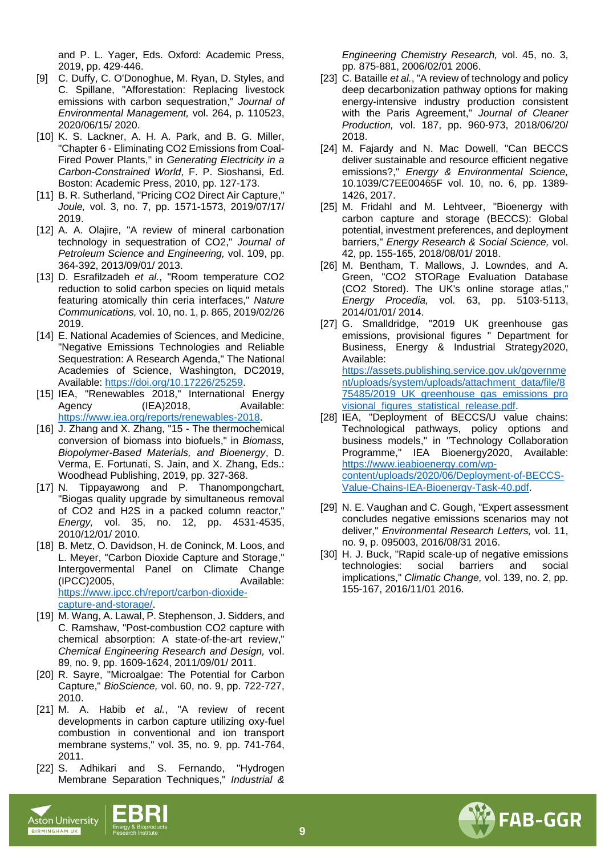and P. L. Yager, Eds. Oxford: Academic Press, 2019, pp. 429-446.

- [9] C. Duffy, C. O'Donoghue, M. Ryan, D. Styles, and C. Spillane, "Afforestation: Replacing livestock emissions with carbon sequestration," *Journal of Environmental Management,* vol. 264, p. 110523, 2020/06/15/ 2020.
- [10] K. S. Lackner, A. H. A. Park, and B. G. Miller, "Chapter 6 - Eliminating CO2 Emissions from Coal-Fired Power Plants," in *Generating Electricity in a Carbon-Constrained World*, F. P. Sioshansi, Ed. Boston: Academic Press, 2010, pp. 127-173.
- [11] B. R. Sutherland, "Pricing CO2 Direct Air Capture," *Joule,* vol. 3, no. 7, pp. 1571-1573, 2019/07/17/ 2019.
- [12] A. A. Olajire, "A review of mineral carbonation technology in sequestration of CO2," *Journal of Petroleum Science and Engineering,* vol. 109, pp. 364-392, 2013/09/01/ 2013.
- [13] D. Esrafilzadeh *et al.*, "Room temperature CO2 reduction to solid carbon species on liquid metals featuring atomically thin ceria interfaces," *Nature Communications,* vol. 10, no. 1, p. 865, 2019/02/26 2019.
- [14] E. National Academies of Sciences, and Medicine, "Negative Emissions Technologies and Reliable Sequestration: A Research Agenda," The National Academies of Science, Washington, DC2019, Available: [https://doi.org/10.17226/25259.](https://doi.org/10.17226/25259)
- [15] IEA, "Renewables 2018," International Energy Agency (IEA)2018, Available: [https://www.iea.org/reports/renewables-2018.](https://www.iea.org/reports/renewables-2018)
- [16] J. Zhang and X. Zhang, "15 The thermochemical conversion of biomass into biofuels," in *Biomass, Biopolymer-Based Materials, and Bioenergy*, D. Verma, E. Fortunati, S. Jain, and X. Zhang, Eds.: Woodhead Publishing, 2019, pp. 327-368.
- [17] N. Tippayawong and P. Thanompongchart, "Biogas quality upgrade by simultaneous removal of CO2 and H2S in a packed column reactor," *Energy,* vol. 35, no. 12, pp. 4531-4535, 2010/12/01/ 2010.
- [18] B. Metz, O. Davidson, H. de Coninck, M. Loos, and L. Meyer, "Carbon Dioxide Capture and Storage," Intergovermental Panel on Climate Change (IPCC)2005, Available: [https://www.ipcc.ch/report/carbon-dioxide](https://www.ipcc.ch/report/carbon-dioxide-capture-and-storage/)[capture-and-storage/.](https://www.ipcc.ch/report/carbon-dioxide-capture-and-storage/)
- [19] M. Wang, A. Lawal, P. Stephenson, J. Sidders, and C. Ramshaw, "Post-combustion CO2 capture with chemical absorption: A state-of-the-art review," *Chemical Engineering Research and Design,* vol. 89, no. 9, pp. 1609-1624, 2011/09/01/ 2011.
- [20] R. Sayre, "Microalgae: The Potential for Carbon Capture," *BioScience,* vol. 60, no. 9, pp. 722-727, 2010.
- [21] M. A. Habib *et al.*, "A review of recent developments in carbon capture utilizing oxy-fuel combustion in conventional and ion transport membrane systems," vol. 35, no. 9, pp. 741-764, 2011.
- [22] S. Adhikari and S. Fernando, "Hydrogen Membrane Separation Techniques," *Industrial &*

*Engineering Chemistry Research,* vol. 45, no. 3, pp. 875-881, 2006/02/01 2006.

- [23] C. Bataille *et al.*, "A review of technology and policy deep decarbonization pathway options for making energy-intensive industry production consistent with the Paris Agreement," *Journal of Cleaner Production,* vol. 187, pp. 960-973, 2018/06/20/ 2018.
- [24] M. Fajardy and N. Mac Dowell, "Can BECCS deliver sustainable and resource efficient negative emissions?," *Energy & Environmental Science,*  10.1039/C7EE00465F vol. 10, no. 6, pp. 1389- 1426, 2017.
- [25] M. Fridahl and M. Lehtveer, "Bioenergy with carbon capture and storage (BECCS): Global potential, investment preferences, and deployment barriers," *Energy Research & Social Science,* vol. 42, pp. 155-165, 2018/08/01/ 2018.
- [26] M. Bentham, T. Mallows, J. Lowndes, and A. Green, "CO2 STORage Evaluation Database (CO2 Stored). The UK's online storage atlas," *Energy Procedia,* vol. 63, pp. 5103-5113, 2014/01/01/ 2014.
- [27] G. Smalldridge, "2019 UK greenhouse gas emissions, provisional figures " Department for Business, Energy & Industrial Strategy2020, Available: [https://assets.publishing.service.gov.uk/governme](https://assets.publishing.service.gov.uk/government/uploads/system/uploads/attachment_data/file/875485/2019_UK_greenhouse_gas_emissions_provisional_figures_statistical_release.pdf) [nt/uploads/system/uploads/attachment\\_data/file/8](https://assets.publishing.service.gov.uk/government/uploads/system/uploads/attachment_data/file/875485/2019_UK_greenhouse_gas_emissions_provisional_figures_statistical_release.pdf) [75485/2019\\_UK\\_greenhouse\\_gas\\_emissions\\_pro](https://assets.publishing.service.gov.uk/government/uploads/system/uploads/attachment_data/file/875485/2019_UK_greenhouse_gas_emissions_provisional_figures_statistical_release.pdf) visional figures statistical release.pdf.
- [28] IEA, "Deployment of BECCS/U value chains: Technological pathways, policy options and business models," in "Technology Collaboration Programme," IEA Bioenergy2020, Available: [https://www.ieabioenergy.com/wp](https://www.ieabioenergy.com/wp-content/uploads/2020/06/Deployment-of-BECCS-Value-Chains-IEA-Bioenergy-Task-40.pdf)[content/uploads/2020/06/Deployment-of-BECCS-](https://www.ieabioenergy.com/wp-content/uploads/2020/06/Deployment-of-BECCS-Value-Chains-IEA-Bioenergy-Task-40.pdf)[Value-Chains-IEA-Bioenergy-Task-40.pdf.](https://www.ieabioenergy.com/wp-content/uploads/2020/06/Deployment-of-BECCS-Value-Chains-IEA-Bioenergy-Task-40.pdf)
- [29] N. E. Vaughan and C. Gough, "Expert assessment concludes negative emissions scenarios may not deliver," *Environmental Research Letters,* vol. 11, no. 9, p. 095003, 2016/08/31 2016.
- [30] H. J. Buck, "Rapid scale-up of negative emissions technologies: social barriers and social implications," *Climatic Change,* vol. 139, no. 2, pp. 155-167, 2016/11/01 2016.





**BIRMINGHAM UK**